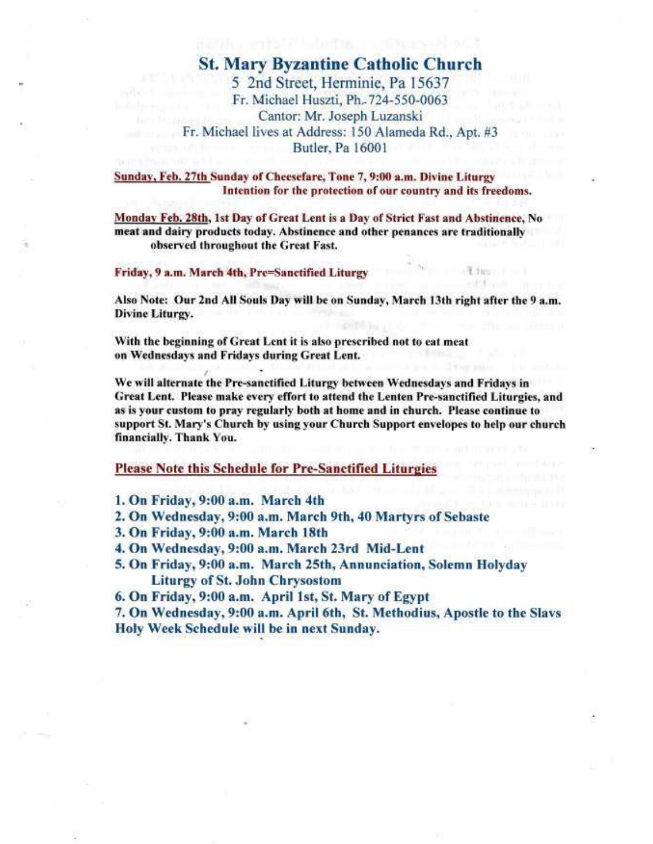### **St. Mary Byzantine Catholic Church**

5 2nd Street, Herminie, Pa 15637 Fr. Michael Huszti, Ph. 724-550-0063 Cantor: Mr. Joseph Luzanski Fr. Michael lives at Address: 150 Alameda Rd., Apt. #3 Butler, Pa 16001

Sunday, Feb. 27th Sunday of Cheesefare, Tone 7, 9:00 a.m. Divine Liturgy Intention for the protection of our country and its freedoms.

Monday Feb. 28th, 1st Day of Great Lent is a Day of Strict Fast and Abstinence, No meat and dairy products today. Abstinence and other penances are traditionally observed throughout the Great Fast.

#### Friday, 9 a.m. March 4th, Pre=Sanctified Liturgy

Also Note: Our 2nd All Souls Day will be on Sunday, March 13th right after the 9 a.m. Divine Liturgy.

With the beginning of Great Lent it is also prescribed not to eat meat on Wednesdays and Fridays during Great Lent.

We will alternate the Pre-sanctified Liturgy between Wednesdays and Fridays in Great Lent. Please make every effort to attend the Lenten Pre-sanctified Liturgies, and as is your custom to pray regularly both at home and in church. Please continue to support St. Mary's Church by using your Church Support envelopes to help our church financially. Thank You.

#### **Please Note this Schedule for Pre-Sanctified Liturgies**

1. On Friday, 9:00 a.m. March 4th

2. On Wednesday, 9:00 a.m. March 9th, 40 Martyrs of Sebaste

3. On Friday, 9:00 a.m. March 18th

4. On Wednesday, 9:00 a.m. March 23rd Mid-Lent

5. On Friday, 9:00 a.m. March 25th, Annunciation, Solemn Holyday **Liturgy of St. John Chrysostom** 

6. On Friday, 9:00 a.m. April 1st, St. Mary of Egypt

7. On Wednesday, 9:00 a.m. April 6th, St. Methodius, Apostle to the Slavs Holy Week Schedule will be in next Sunday.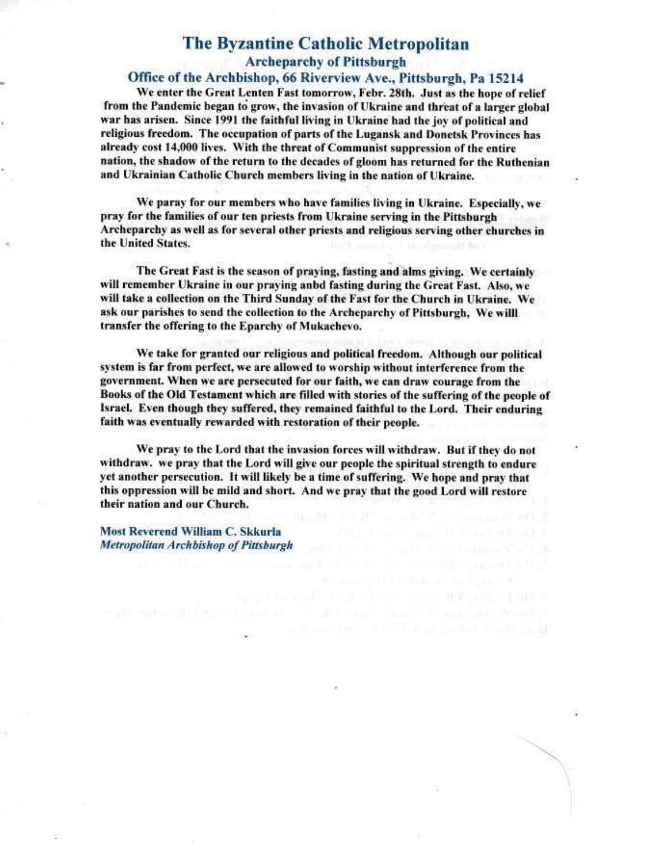# **The Byzantine Catholic Metropolitan Archeparchy of Pittsburgh**

#### Office of the Archbishop, 66 Riverview Ave., Pittsburgh, Pa 15214

We enter the Great Lenten Fast tomorrow, Febr. 28th. Just as the hope of relief from the Pandemic began to grow, the invasion of Ukraine and threat of a larger global war has arisen. Since 1991 the faithful living in Ukraine had the joy of political and religious freedom. The occupation of parts of the Lugansk and Donetsk Provinces has already cost 14,000 lives. With the threat of Communist suppression of the entire nation, the shadow of the return to the decades of gloom has returned for the Ruthenian and Ukrainian Catholic Church members living in the nation of Ukraine.

We paray for our members who have families living in Ukraine. Especially, we pray for the families of our ten priests from Ukraine serving in the Pittsburgh Archeparchy as well as for several other priests and religious serving other churches in the United States.

The Great Fast is the season of praying, fasting and alms giving. We certainly will remember Ukraine in our praying anbd fasting during the Great Fast. Also, we will take a collection on the Third Sunday of the Fast for the Church in Ukraine. We ask our parishes to send the collection to the Archeparchy of Pittsburgh. We willl transfer the offering to the Eparchy of Mukachevo.

We take for granted our religious and political freedom. Although our political system is far from perfect, we are allowed to worship without interference from the government. When we are persecuted for our faith, we can draw courage from the Books of the Old Testament which are filled with stories of the suffering of the people of Israel. Even though they suffered, they remained faithful to the Lord. Their enduring faith was eventually rewarded with restoration of their people.

We pray to the Lord that the invasion forces will withdraw. But if they do not withdraw. we pray that the Lord will give our people the spiritual strength to endure yet another persecution. It will likely be a time of suffering. We hope and pray that this oppression will be mild and short. And we pray that the good Lord will restore their nation and our Church.

Most Reverend William C. Skkurla Metropolitan Archbishop of Pittsburgh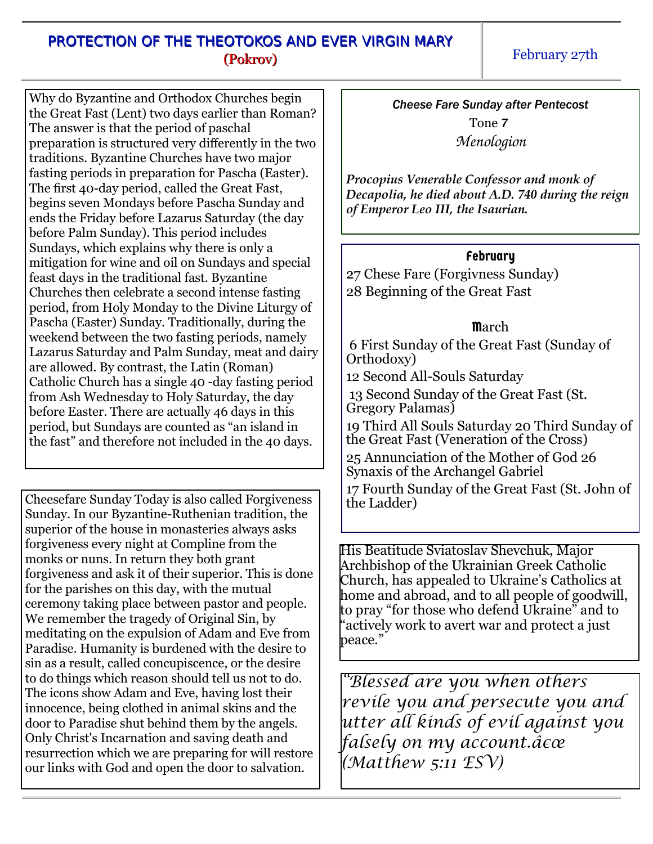#### PROTECTION OF THE THEOTOKOS AND EVER VIRGIN MARY (Pokrov)

February 27th

Why do Byzantine and Orthodox Churches begin the Great Fast (Lent) two days earlier than Roman? The answer is that the period of paschal preparation is structured very differently in the two traditions. Byzantine Churches have two major fasting periods in preparation for Pascha (Easter). The first 40-day period, called the Great Fast, begins seven Mondays before Pascha Sunday and ends the Friday before Lazarus Saturday (the day before Palm Sunday). This period includes Sundays, which explains why there is only a mitigation for wine and oil on Sundays and special feast days in the traditional fast. Byzantine Churches then celebrate a second intense fasting period, from Holy Monday to the Divine Liturgy of Pascha (Easter) Sunday. Traditionally, during the weekend between the two fasting periods, namely Lazarus Saturday and Palm Sunday, meat and dairy are allowed. By contrast, the Latin (Roman) Catholic Church has a single 40 -day fasting period from Ash Wednesday to Holy Saturday, the day before Easter. There are actually 46 days in this period, but Sundays are counted as "an island in the fast" and therefore not included in the 40 days.

Cheesefare Sunday Today is also called Forgiveness Sunday. In our Byzantine-Ruthenian tradition, the superior of the house in monasteries always asks forgiveness every night at Compline from the monks or nuns. In return they both grant forgiveness and ask it of their superior. This is done for the parishes on this day, with the mutual ceremony taking place between pastor and people. We remember the tragedy of Original Sin, by meditating on the expulsion of Adam and Eve from Paradise. Humanity is burdened with the desire to sin as a result, called concupiscence, or the desire to do things which reason should tell us not to do. The icons show Adam and Eve, having lost their innocence, being clothed in animal skins and the door to Paradise shut behind them by the angels. Only Christ's Incarnation and saving death and resurrection which we are preparing for will restore our links with God and open the door to salvation.

*Cheese Fare Sunday after Pentecost*

Tone *7 Menologion*

*Procopius Venerable Confessor and monk of Decapolia, he died about A.D. 740 during the reign of Emperor Leo III, the Isaurian.*

#### February

27 Chese Fare (Forgivness Sunday) 28 Beginning of the Great Fast

# **March**

 6 First Sunday of the Great Fast (Sunday of Orthodoxy) 12 Second All-Souls Saturday 13 Second Sunday of the Great Fast (St. Gregory Palamas) 19 Third All Souls Saturday 20 Third Sunday of the Great Fast (Veneration of the Cross) 25 Annunciation of the Mother of God 26 Synaxis of the Archangel Gabriel 17 Fourth Sunday of the Great Fast (St. John of the Ladder)

His Beatitude Sviatoslav Shevchuk, Major Archbishop of the Ukrainian Greek Catholic Church, has appealed to Ukraine's Catholics at home and abroad, and to all people of goodwill, to pray "for those who defend Ukraine" and to #actively work to avert war and protect a just  $be$ ace."

 *Blessed are you when others revile you and persecute you and utter all kinds of evil against you falsely on my account.â* $\epsilon \alpha$ *(Matthew 5:11 ESV)*